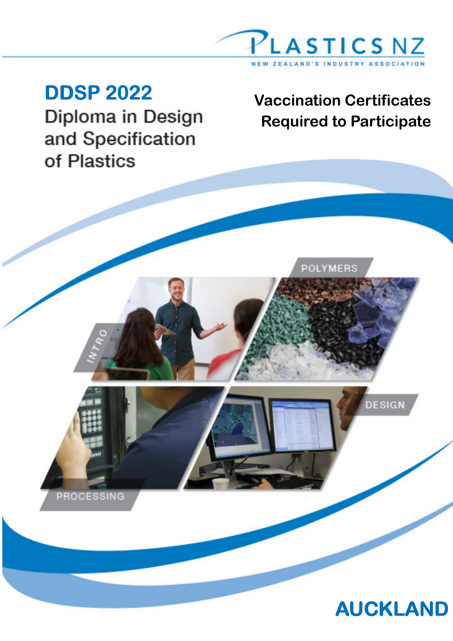

PROCESSING

and Specification of Plastics

# **DDSP 2022** Vaccination Certificates<br>Diploma in Design<br>Required to Participate Required to Participate

POLYMERS



DESIGN